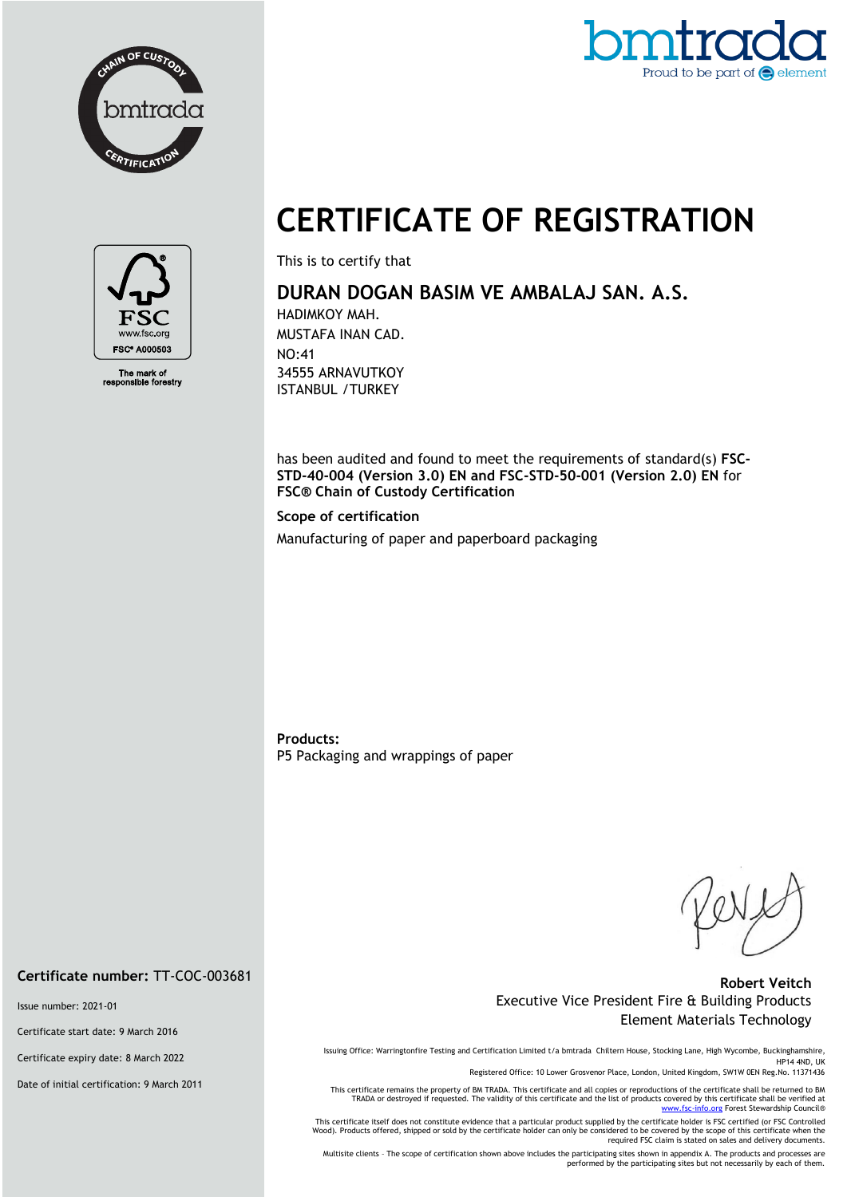



# **CERTIFICATE OF REGISTRATION**



The mark of<br>ponsible forestry

This is to certify that

## **DURAN DOGAN BASIM VE AMBALAJ SAN. A.S.**

HADIMKOY MAH. MUSTAFA INAN CAD. NO:41 34555 ARNAVUTKOY ISTANBUL /TURKEY

has been audited and found to meet the requirements of standard(s) **FSC-STD-40-004 (Version 3.0) EN and FSC-STD-50-001 (Version 2.0) EN** for **FSC® Chain of Custody Certification**

**Scope of certification**

Manufacturing of paper and paperboard packaging

**Products:**  P5 Packaging and wrappings of paper

#### **Robert Veitch** Executive Vice President Fire & Building Products Element Materials Technology

Issuing Office: Warringtonfire Testing and Certification Limited t/a bmtrada Chiltern House, Stocking Lane, High Wycombe, Buckinghamshire, HP14 4ND, UK

Registered Office: 10 Lower Grosvenor Place, London, United Kingdom, SW1W 0EN Reg.No. 11371436

This certificate remains the property of BM TRADA. This certificate and all copies or reproductions of the certificate shall be returned to BM TRADA or destroyed if requested. The validity of this certificate and the list of products covered by this certificate shall be verified at<br>[www.fsc-info.org](http://www.fsc-info.org/) Forest Stewardship Council®

This certificate itself does not constitute evidence that a particular product supplied by the certificate holder is FSC certified (or FSC Controlled Wood). Products offered, shipped or sold by the certificate holder can only be considered to be covered by the scope of this certificate when the required FSC claim is stated on sales and delivery documents.

Multisite clients – The scope of certification shown above includes the participating sites shown in appendix A. The products and processes are performed by the participating sites but not necessarily by each of them.

#### **Certificate number:** TT-COC-003681

Issue number: 2021-01

Certificate start date: 9 March 2016

Certificate expiry date: 8 March 2022

Date of initial certification: 9 March 2011